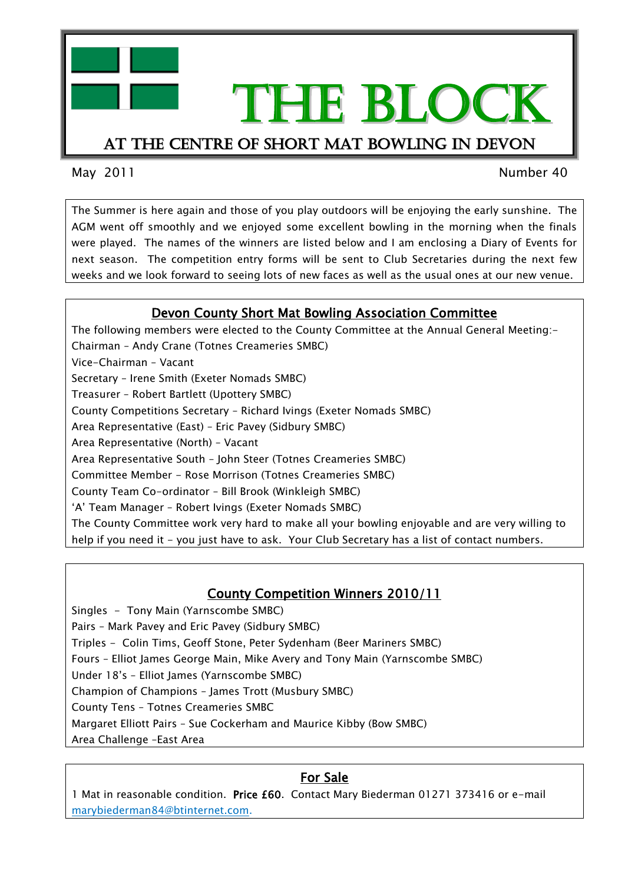

# THE BLOCK

# At the centre of short mat bowling in devon

# May 2011 Number 40

The Summer is here again and those of you play outdoors will be enjoying the early sunshine. The AGM went off smoothly and we enjoyed some excellent bowling in the morning when the finals were played. The names of the winners are listed below and I am enclosing a Diary of Events for next season. The competition entry forms will be sent to Club Secretaries during the next few weeks and we look forward to seeing lots of new faces as well as the usual ones at our new venue.

# Devon County Short Mat Bowling Association Committee

The following members were elected to the County Committee at the Annual General Meeting:- Chairman – Andy Crane (Totnes Creameries SMBC) Vice-Chairman – Vacant Secretary – Irene Smith (Exeter Nomads SMBC) Treasurer – Robert Bartlett (Upottery SMBC) County Competitions Secretary – Richard Ivings (Exeter Nomads SMBC) Area Representative (East) – Eric Pavey (Sidbury SMBC) Area Representative (North) – Vacant Area Representative South – John Steer (Totnes Creameries SMBC) Committee Member - Rose Morrison (Totnes Creameries SMBC) County Team Co-ordinator – Bill Brook (Winkleigh SMBC) "A" Team Manager – Robert Ivings (Exeter Nomads SMBC) The County Committee work very hard to make all your bowling enjoyable and are very willing to help if you need it - you just have to ask. Your Club Secretary has a list of contact numbers.

# County Competition Winners 2010/11

Singles - Tony Main (Yarnscombe SMBC) Pairs – Mark Pavey and Eric Pavey (Sidbury SMBC) Triples - Colin Tims, Geoff Stone, Peter Sydenham (Beer Mariners SMBC) Fours – Elliot James George Main, Mike Avery and Tony Main (Yarnscombe SMBC) Under 18"s – Elliot James (Yarnscombe SMBC) Champion of Champions – James Trott (Musbury SMBC) County Tens – Totnes Creameries SMBC Margaret Elliott Pairs – Sue Cockerham and Maurice Kibby (Bow SMBC)

Area Challenge –East Area

# For Sale

1 Mat in reasonable condition. Price £60. Contact Mary Biederman 01271 373416 or e-mail marybiederman84@btinternet.com.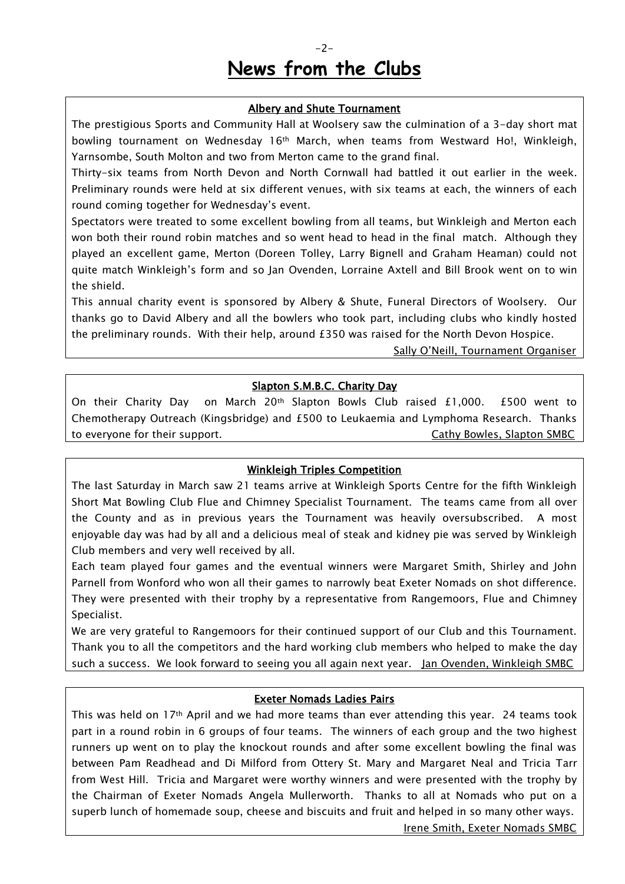# -2- **News from the Clubs**

### Albery and Shute Tournament

The prestigious Sports and Community Hall at Woolsery saw the culmination of a 3-day short mat bowling tournament on Wednesday 16th March, when teams from Westward Ho!, Winkleigh, Yarnsombe, South Molton and two from Merton came to the grand final.

Thirty-six teams from North Devon and North Cornwall had battled it out earlier in the week. Preliminary rounds were held at six different venues, with six teams at each, the winners of each round coming together for Wednesday"s event.

Spectators were treated to some excellent bowling from all teams, but Winkleigh and Merton each won both their round robin matches and so went head to head in the final match. Although they played an excellent game, Merton (Doreen Tolley, Larry Bignell and Graham Heaman) could not quite match Winkleigh"s form and so Jan Ovenden, Lorraine Axtell and Bill Brook went on to win the shield.

This annual charity event is sponsored by Albery & Shute, Funeral Directors of Woolsery. Our thanks go to David Albery and all the bowlers who took part, including clubs who kindly hosted the preliminary rounds. With their help, around £350 was raised for the North Devon Hospice.

Sally O"Neill, Tournament Organiser

## Slapton S.M.B.C. Charity Day

On their Charity Day on March 20th Slapton Bowls Club raised £1,000. £500 went to Chemotherapy Outreach (Kingsbridge) and £500 to Leukaemia and Lymphoma Research. Thanks to everyone for their support. The same state of the cathy Bowles, Slapton SMBC

### Winkleigh Triples Competition

The last Saturday in March saw 21 teams arrive at Winkleigh Sports Centre for the fifth Winkleigh Short Mat Bowling Club Flue and Chimney Specialist Tournament. The teams came from all over the County and as in previous years the Tournament was heavily oversubscribed. A most enjoyable day was had by all and a delicious meal of steak and kidney pie was served by Winkleigh Club members and very well received by all.

Each team played four games and the eventual winners were Margaret Smith, Shirley and John Parnell from Wonford who won all their games to narrowly beat Exeter Nomads on shot difference. They were presented with their trophy by a representative from Rangemoors, Flue and Chimney Specialist.

We are very grateful to Rangemoors for their continued support of our Club and this Tournament. Thank you to all the competitors and the hard working club members who helped to make the day such a success. We look forward to seeing you all again next year. Jan Ovenden, Winkleigh SMBC

### Exeter Nomads Ladies Pairs

This was held on 17th April and we had more teams than ever attending this year. 24 teams took part in a round robin in 6 groups of four teams. The winners of each group and the two highest runners up went on to play the knockout rounds and after some excellent bowling the final was between Pam Readhead and Di Milford from Ottery St. Mary and Margaret Neal and Tricia Tarr from West Hill. Tricia and Margaret were worthy winners and were presented with the trophy by the Chairman of Exeter Nomads Angela Mullerworth. Thanks to all at Nomads who put on a superb lunch of homemade soup, cheese and biscuits and fruit and helped in so many other ways. Irene Smith, Exeter Nomads SMBC